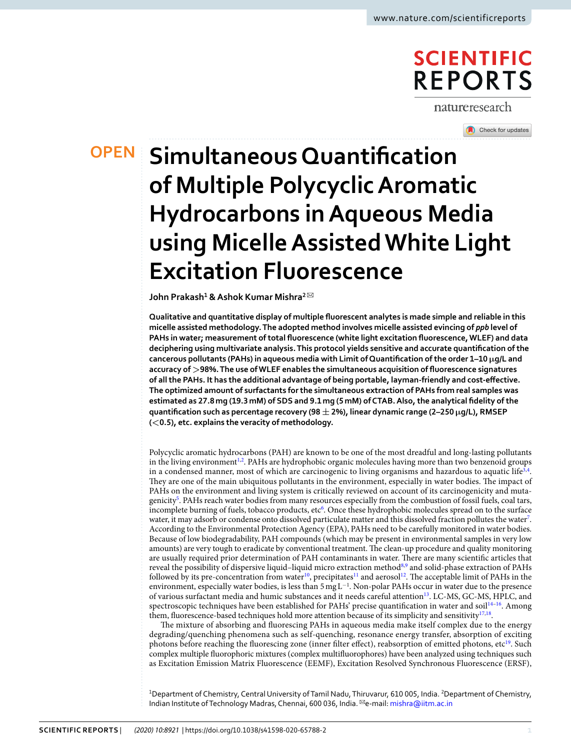## **SCIENTIFIC REPORTS**

natureresearch

Check for updates

# **OPEN** Simultaneous Quantification **of Multiple Polycyclic Aromatic Hydrocarbons in Aqueous Media using Micelle Assisted White Light Excitation Fluorescence**

**John Prakash<sup>1</sup> & Ashok Kumar Mishra<sup>2</sup>** ✉

**Qualitative and quantitative display of multiple fluorescent analytes is made simple and reliable in this micelle assisted methodology. The adopted method involves micelle assisted evincing of** *ppb* **level of PAHs in water; measurement of total fluorescence (white light excitation fluorescence, WLEF) and data deciphering using multivariate analysis. This protocol yields sensitive and accurate quantification of the cancerous pollutants (PAHs) in aqueous media with Limit of Quantification of the order 1–10 µg/L and accuracy of >98%. The use of WLEF enables the simultaneous acquisition of fluorescence signatures of all the PAHs. It has the additional advantage of being portable, layman-friendly and cost-effective. The optimized amount of surfactants for the simultaneous extraction of PAHs from real samples was estimated as 27.8 mg (19.3 mM) of SDS and 9.1 mg (5 mM) of CTAB. Also, the analytical fidelity of the quantification such as percentage recovery (98 ± 2%), linear dynamic range (2–250 µg/L), RMSEP (<0.5), etc. explains the veracity of methodology.**

Polycyclic aromatic hydrocarbons (PAH) are known to be one of the most dreadful and long-lasting pollutants in the living environment<sup>[1](#page-8-0),[2](#page-8-1)</sup>. PAHs are hydrophobic organic molecules having more than two benzenoid groups in a condensed manner, most of which are carcinogenic to living organisms and hazardous to aquatic life<sup>[3](#page-8-2),[4](#page-8-3)</sup>. They are one of the main ubiquitous pollutants in the environment, especially in water bodies. The impact of PAHs on the environment and living system is critically reviewed on account of its carcinogenicity and muta-genicity<sup>[5](#page-8-4)</sup>. PAHs reach water bodies from many resources especially from the combustion of fossil fuels, coal tars, incomplete burning of fuels, tobacco products, etc<sup>[6](#page-8-5)</sup>. Once these hydrophobic molecules spread on to the surface water, it may adsorb or condense onto dissolved particulate matter and this dissolved fraction pollutes the water<sup>[7](#page-8-6)</sup>. According to the Environmental Protection Agency (EPA), PAHs need to be carefully monitored in water bodies. Because of low biodegradability, PAH compounds (which may be present in environmental samples in very low amounts) are very tough to eradicate by conventional treatment. The clean-up procedure and quality monitoring are usually required prior determination of PAH contaminants in water. There are many scientific articles that reveal the possibility of dispersive liquid–liquid micro extraction method<sup>[8](#page-8-7),[9](#page-8-8)</sup> and solid-phase extraction of PAHs followed by its pre-concentration from water<sup>[10](#page-8-9)</sup>, precipitates<sup>[11](#page-8-10)</sup> and aerosol<sup>[12](#page-8-11)</sup>. The acceptable limit of PAHs in the environment, especially water bodies, is less than 5 mg L<sup>−</sup><sup>1</sup> . Non-polar PAHs occur in water due to the presence of various surfactant media and humic substances and it needs careful attention<sup>[13](#page-8-12)</sup>. LC-MS, GC-MS, HPLC, and spectroscopic techniques have been established for PAHs' precise quantification in water and soil<sup>[14](#page-8-13)-16</sup>. Among them, fluorescence-based techniques hold more attention because of its simplicity and sensitivity<sup>[17](#page-8-15),[18](#page-8-16)</sup>.

The mixture of absorbing and fluorescing PAHs in aqueous media make itself complex due to the energy degrading/quenching phenomena such as self-quenching, resonance energy transfer, absorption of exciting photons before reaching the fluorescing zone (inner filter effect), reabsorption of emitted photons, etc<sup>[19](#page-8-17)</sup>. Such complex multiple fluorophoric mixtures (complex multifluorophores) have been analyzed using techniques such as Excitation Emission Matrix Fluorescence (EEMF), Excitation Resolved Synchronous Fluorescence (ERSF),

<sup>1</sup>Department of Chemistry, Central University of Tamil Nadu, Thiruvarur, 610 005, India. <sup>2</sup>Department of Chemistry, Indian Institute of Technology Madras, Chennai, 600 036, India. <sup>⊠</sup>e-mail: [mishra@iitm.ac.in](mailto:mishra@iitm.ac.in)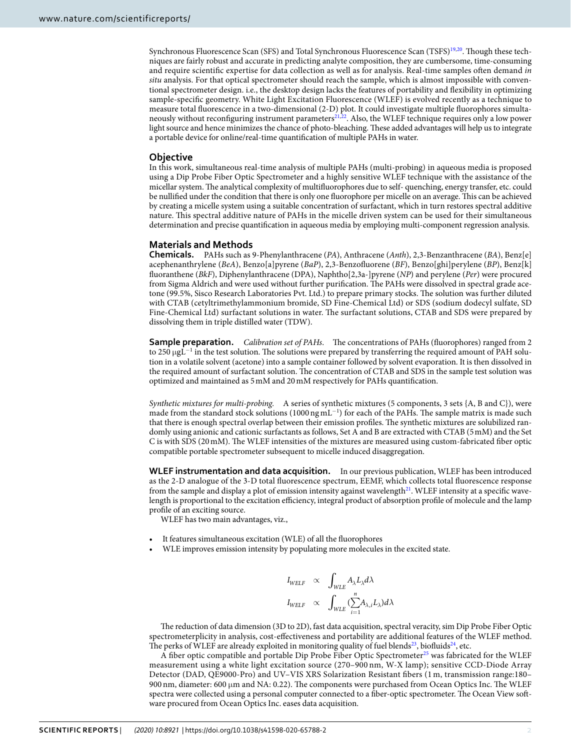Synchronous Fluorescence Scan (SFS) and Total Synchronous Fluorescence Scan (TSFS)<sup>[19](#page-8-17),[20](#page-8-18)</sup>. Though these techniques are fairly robust and accurate in predicting analyte composition, they are cumbersome, time-consuming and require scientific expertise for data collection as well as for analysis. Real-time samples often demand in situ analysis. For that optical spectrometer should reach the sample, which is almost impossible with conventional spectrometer design. i.e., the desktop design lacks the features of portability and flexibility in optimizing sample-specific geometry. White Light Excitation Fluorescence (WLEF) is evolved recently as a technique to measure total fluorescence in a two-dimensional (2-D) plot. It could investigate multiple fluorophores simulta-neously without reconfiguring instrument parameters<sup>[21,](#page-8-19)[22](#page-8-20)</sup>. Also, the WLEF technique requires only a low power light source and hence minimizes the chance of photo-bleaching. These added advantages will help us to integrate a portable device for online/real-time quantification of multiple PAHs in water.

#### **Objective**

In this work, simultaneous real-time analysis of multiple PAHs (multi-probing) in aqueous media is proposed using a Dip Probe Fiber Optic Spectrometer and a highly sensitive WLEF technique with the assistance of the micellar system. The analytical complexity of multifluorophores due to self- quenching, energy transfer, etc. could be nullified under the condition that there is only one fluorophore per micelle on an average. This can be achieved by creating a micelle system using a suitable concentration of surfactant, which in turn restores spectral additive nature. This spectral additive nature of PAHs in the micelle driven system can be used for their simultaneous determination and precise quantification in aqueous media by employing multi-component regression analysis.

#### **Materials and Methods**

**Chemicals.** PAHs such as 9-Phenylanthracene (PA), Anthracene (Anth), 2,3-Benzanthracene (BA), Benz[e] acephenanthrylene (BeA), Benzo[a]pyrene (BaP), 2,3-Benzofluorene (BF), Benzo[ghi]perylene (BP), Benz[k] fluoranthene (BkF), Diphenylanthracene (DPA), Naphtho[2,3a-]pyrene (NP) and perylene (Per) were procured from Sigma Aldrich and were used without further purification. The PAHs were dissolved in spectral grade acetone (99.5%, Sisco Research Laboratories Pvt. Ltd.) to prepare primary stocks. The solution was further diluted with CTAB (cetyltrimethylammonium bromide, SD Fine-Chemical Ltd) or SDS (sodium dodecyl sulfate, SD Fine-Chemical Ltd) surfactant solutions in water. The surfactant solutions, CTAB and SDS were prepared by dissolving them in triple distilled water (TDW).

**Sample preparation.** *Calibration set of PAHs.* The concentrations of PAHs (fluorophores) ranged from 2 to 250 µgL<sup>-1</sup> in the test solution. The solutions were prepared by transferring the required amount of PAH solution in a volatile solvent (acetone) into a sample container followed by solvent evaporation. It is then dissolved in the required amount of surfactant solution. The concentration of CTAB and SDS in the sample test solution was optimized and maintained as 5 mM and 20 mM respectively for PAHs quantification.

Synthetic mixtures for multi-probing. A series of synthetic mixtures (5 components, 3 sets {A, B and C}), were made from the standard stock solutions (1000 ng mL<sup>-1</sup>) for each of the PAHs. The sample matrix is made such that there is enough spectral overlap between their emission profiles. The synthetic mixtures are solubilized randomly using anionic and cationic surfactants as follows, Set A and B are extracted with CTAB (5 mM) and the Set C is with SDS (20 mM). The WLEF intensities of the mixtures are measured using custom-fabricated fiber optic compatible portable spectrometer subsequent to micelle induced disaggregation.

**WLEF instrumentation and data acquisition.** In our previous publication, WLEF has been introduced as the 2-D analogue of the 3-D total fluorescence spectrum, EEMF, which collects total fluorescence response from the sample and display a plot of emission intensity against wavelength<sup>[21](#page-8-19)</sup>. WLEF intensity at a specific wavelength is proportional to the excitation efficiency, integral product of absorption profile of molecule and the lamp profile of an exciting source.

WLEF has two main advantages, viz.,

- It features simultaneous excitation (WLE) of all the fluorophores
- WLE improves emission intensity by populating more molecules in the excited state.

$$
\begin{array}{lcl} I_{WELF} & \propto & \displaystyle\int_{WLE} A_{\lambda} L_{\lambda} d\lambda \\ I_{WELF} & \propto & \displaystyle\int_{WLE} (\displaystyle\sum_{i=1}^n \! A_{\lambda,i} L_{\lambda}) d\lambda \end{array}
$$

The reduction of data dimension (3D to 2D), fast data acquisition, spectral veracity, sim Dip Probe Fiber Optic spectrometerplicity in analysis, cost-effectiveness and portability are additional features of the WLEF method. The perks of WLEF are already exploited in monitoring quality of fuel blends<sup>[23](#page-8-21)</sup>, biofluids<sup>[24](#page-8-22)</sup>, etc.

A fiber optic compatible and portable Dip Probe Fiber Optic Spectrometer<sup>[25](#page-8-23)</sup> was fabricated for the WLEF measurement using a white light excitation source (270–900 nm, W-X lamp); sensitive CCD-Diode Array Detector (DAD, QE9000-Pro) and UV–VIS XRS Solarization Resistant fibers (1 m, transmission range:180– 900 nm, diameter: 600  $\mu$ m and NA: 0.22). The components were purchased from Ocean Optics Inc. The WLEF spectra were collected using a personal computer connected to a fiber-optic spectrometer. The Ocean View software procured from Ocean Optics Inc. eases data acquisition.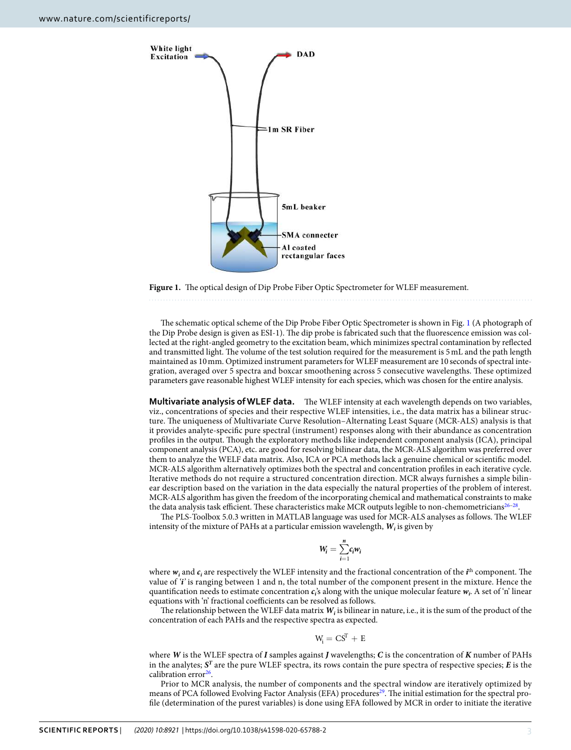

<span id="page-2-0"></span>**Figure 1.** The optical design of Dip Probe Fiber Optic Spectrometer for WLEF measurement.

The schematic optical scheme of the Dip Probe Fiber Optic Spectrometer is shown in Fig. [1](#page-2-0) (A photograph of the Dip Probe design is given as ESI-1). The dip probe is fabricated such that the fluorescence emission was collected at the right-angled geometry to the excitation beam, which minimizes spectral contamination by reflected and transmitted light. The volume of the test solution required for the measurement is 5 mL and the path length maintained as 10 mm. Optimized instrument parameters for WLEF measurement are 10 seconds of spectral integration, averaged over 5 spectra and boxcar smoothening across 5 consecutive wavelengths. These optimized parameters gave reasonable highest WLEF intensity for each species, which was chosen for the entire analysis.

**Multivariate analysis of WLEF data.** The WLEF intensity at each wavelength depends on two variables, viz., concentrations of species and their respective WLEF intensities, i.e., the data matrix has a bilinear structure. The uniqueness of Multivariate Curve Resolution–Alternating Least Square (MCR-ALS) analysis is that it provides analyte-specific pure spectral (instrument) responses along with their abundance as concentration profiles in the output. Though the exploratory methods like independent component analysis (ICA), principal component analysis (PCA), etc. are good for resolving bilinear data, the MCR-ALS algorithm was preferred over them to analyze the WELF data matrix. Also, ICA or PCA methods lack a genuine chemical or scientific model. MCR-ALS algorithm alternatively optimizes both the spectral and concentration profiles in each iterative cycle. Iterative methods do not require a structured concentration direction. MCR always furnishes a simple bilinear description based on the variation in the data especially the natural properties of the problem of interest. MCR-ALS algorithm has given the freedom of the incorporating chemical and mathematical constraints to make the data analysis task efficient. These characteristics make MCR outputs legible to non-chemometricians $26-28$  $26-28$ .

The PLS-Toolbox 5.0.3 written in MATLAB language was used for MCR-ALS analyses as follows. The WLEF intensity of the mixture of PAHs at a particular emission wavelength,  $W_i$  is given by

$$
W_i = \sum_{i=1}^n c_i w_i
$$

where  $w_i$  and  $c_i$  are respectively the WLEF intensity and the fractional concentration of the  $i$ <sup>th</sup> component. The value of '**i**' is ranging between 1 and n, the total number of the component present in the mixture. Hence the quantification needs to estimate concentration  $c_i$ 's along with the unique molecular feature  $w_i$ . A set of 'n' linear equations with 'n' fractional coefficients can be resolved as follows.

The relationship between the WLEF data matrix  $W_i$  is bilinear in nature, i.e., it is the sum of the product of the concentration of each PAHs and the respective spectra as expected.

$$
W_i = C S^T + E
$$

where **W** is the WLEF spectra of **I** samples against **J** wavelengths; **C** is the concentration of **K** number of PAHs in the analytes; **S T** are the pure WLEF spectra, its rows contain the pure spectra of respective species; **E** is the calibration error<sup>[26](#page-8-24)</sup>.

Prior to MCR analysis, the number of components and the spectral window are iteratively optimized by means of PCA followed Evolving Factor Analysis (EFA) procedures<sup>[29](#page-9-1)</sup>. The initial estimation for the spectral profile (determination of the purest variables) is done using EFA followed by MCR in order to initiate the iterative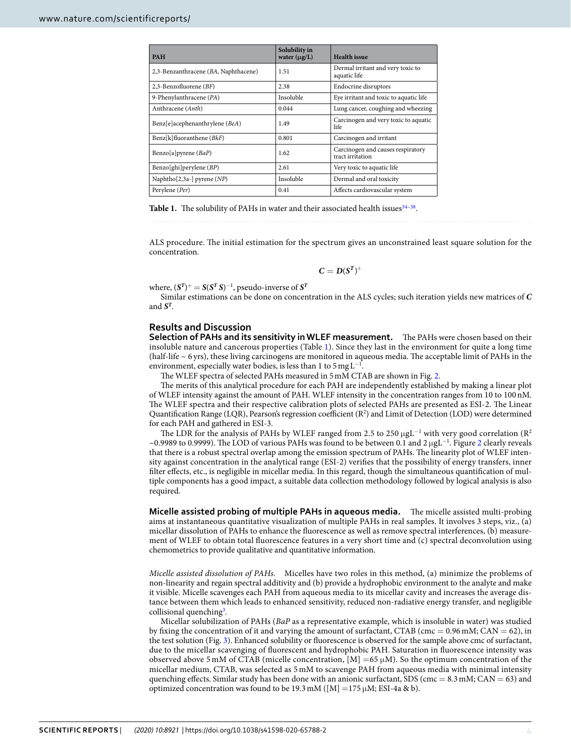<span id="page-3-0"></span>

| <b>PAH</b>                           | Solubility in<br>water $(\mu g/L)$ | <b>Health</b> issue                                   |
|--------------------------------------|------------------------------------|-------------------------------------------------------|
| 2,3-Benzanthracene (BA, Naphthacene) | 1.51                               | Dermal irritant and very toxic to<br>aquatic life     |
| 2,3-Benzofluorene $(BF)$             | 2.38                               | Endocrine disruptors                                  |
| 9-Phenylanthracene (PA)              | Insoluble                          | Eye irritant and toxic to aquatic life                |
| Anthracene (Anth)                    | 0.044                              | Lung cancer, coughing and wheezing                    |
| Benz[e]acephenanthrylene (BeA)       | 1.49                               | Carcinogen and very toxic to aquatic<br>life          |
| $Benz[k]$ fluoranthene ( $BkF$ )     | 0.801                              | Carcinogen and irritant                               |
| Benzo[a] pyrene $(BaP)$              | 1.62                               | Carcinogen and causes respiratory<br>tract irritation |
| Benzo[ghi]perylene $(BP)$            | 2.61                               | Very toxic to aquatic life                            |
| Naphtho[2,3a-] pyrene $(NP)$         | Insoluble                          | Dermal and oral toxicity                              |
| Perylene (Per)                       | 0.41                               | Affects cardiovascular system                         |

Table 1. The solubility of PAHs in water and their associated health issues<sup>34-[38](#page-9-3)</sup>.

ALS procedure. The initial estimation for the spectrum gives an unconstrained least square solution for the concentration.

$$
C=D(S^T)^+
$$

where,  $(\mathbf{S}^T)^{+} = \mathbf{S}(\mathbf{S}^T \mathbf{S})^{-1}$ , pseudo-inverse of  $\mathbf{S}^T$ 

Similar estimations can be done on concentration in the ALS cycles; such iteration yields new matrices of **C** and  $S^T$ .

### **Results and Discussion**

**Selection of PAHs and its sensitivity in WLEF measurement.** The PAHs were chosen based on their insoluble nature and cancerous properties (Table [1\)](#page-3-0). Since they last in the environment for quite a long time (half-life ~ 6 yrs), these living carcinogens are monitored in aqueous media. The acceptable limit of PAHs in the environment, especially water bodies, is less than 1 to 5 mg  $L^{-1}$ .

The WLEF spectra of selected PAHs measured in 5 mM CTAB are shown in Fig. [2.](#page-4-0)

The merits of this analytical procedure for each PAH are independently established by making a linear plot of WLEF intensity against the amount of PAH. WLEF intensity in the concentration ranges from 10 to 100 nM. The WLEF spectra and their respective calibration plots of selected PAHs are presented as ESI-2. The Linear Quantification Range (LQR), Pearson's regression coefficient  $(R^2)$  and Limit of Detection (LOD) were determined for each PAH and gathered in ESI-3.

The LDR for the analysis of PAHs by WLEF ranged from 2.5 to 250 µgL<sup>-1</sup> with very good correlation (R<sup>2</sup> ~0.9989 to 0.9999). The LOD of various PAHs was found to be between 0.1 and 2 µgL<sup>−</sup><sup>1</sup> . Figure [2](#page-4-0) clearly reveals that there is a robust spectral overlap among the emission spectrum of PAHs. The linearity plot of WLEF intensity against concentration in the analytical range (ESI-2) verifies that the possibility of energy transfers, inner filter effects, etc., is negligible in micellar media. In this regard, though the simultaneous quantification of multiple components has a good impact, a suitable data collection methodology followed by logical analysis is also required.

**Micelle assisted probing of multiple PAHs in aqueous media.** The micelle assisted multi-probing aims at instantaneous quantitative visualization of multiple PAHs in real samples. It involves 3 steps, viz., (a) micellar dissolution of PAHs to enhance the fluorescence as well as remove spectral interferences, (b) measurement of WLEF to obtain total fluorescence features in a very short time and (c) spectral deconvolution using chemometrics to provide qualitative and quantitative information.

Micelle assisted dissolution of PAHs. Micelles have two roles in this method, (a) minimize the problems of non-linearity and regain spectral additivity and (b) provide a hydrophobic environment to the analyte and make it visible. Micelle scavenges each PAH from aqueous media to its micellar cavity and increases the average distance between them which leads to enhanced sensitivity, reduced non-radiative energy transfer, and negligible collisional quenching<sup>[3](#page-8-2)</sup>.

Micellar solubilization of PAHs (BaP as a representative example, which is insoluble in water) was studied by fixing the concentration of it and varying the amount of surfactant, CTAB (cmc =  $0.96$  mM; CAN =  $62$ ), in the test solution (Fig. [3](#page-5-0)). Enhanced solubility or fluorescence is observed for the sample above cmc of surfactant, due to the micellar scavenging of fluorescent and hydrophobic PAH. Saturation in fluorescence intensity was observed above 5 mM of CTAB (micelle concentration,  $[M] = 65 \mu M$ ). So the optimum concentration of the micellar medium, CTAB, was selected as 5 mM to scavenge PAH from aqueous media with minimal intensity quenching effects. Similar study has been done with an anionic surfactant, SDS (cmc =  $8.3$  mM; CAN =  $63$ ) and optimized concentration was found to be 19.3 mM ( $[M] = 175 \mu M$ ; ESI-4a & b).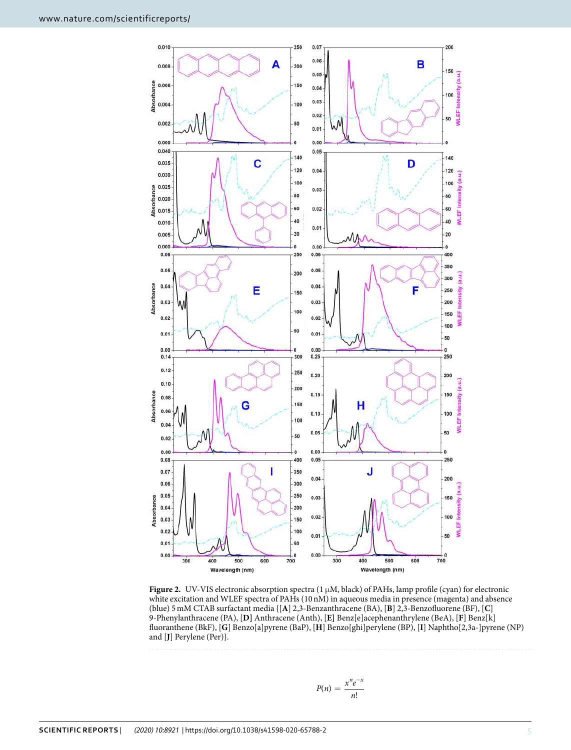

<span id="page-4-0"></span>**Figure 2.** UV-VIS electronic absorption spectra  $(1 \mu M, \text{black})$  of PAHs, lamp profile (cyan) for electronic white excitation and WLEF spectra of PAHs (10 nM) in aqueous media in presence (magenta) and absence (blue) 5 mM CTAB surfactant media {[**A**] 2,3-Benzanthracene (BA), [**B**] 2,3-Benzofluorene (BF), [**C**] 9-Phenylanthracene (PA), [**D]** Anthracene (Anth), [**E]** Benz[e]acephenanthrylene (BeA), [**F**] Benz[k] fluoranthene (BkF), [**G**] Benzo[a]pyrene (BaP), [**H**] Benzo[ghi]perylene (BP), [**I**] Naphtho[2,3a-]pyrene (NP) and [**J**] Perylene (Per)}.

$$
P(n) = \frac{x^n e^{-x}}{n!}
$$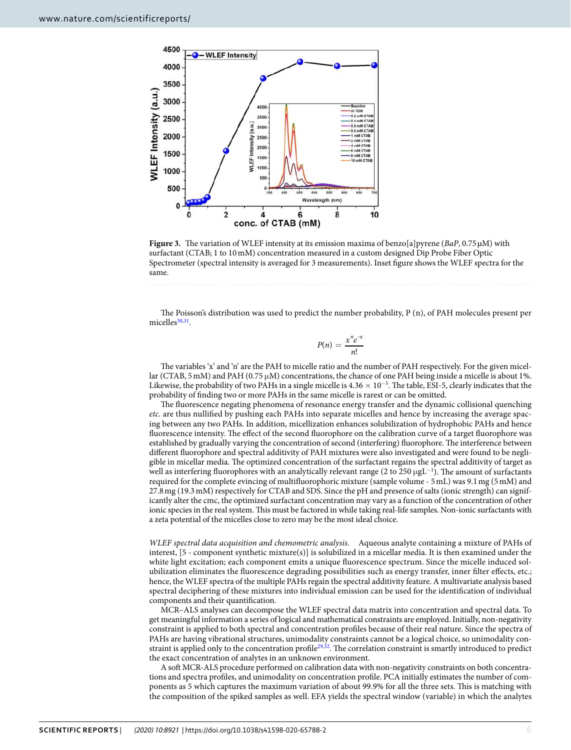

<span id="page-5-0"></span>**Figure 3.** The variation of WLEF intensity at its emission maxima of benzo[a]pyrene (BaP, 0.75 µM) with surfactant (CTAB; 1 to 10 mM) concentration measured in a custom designed Dip Probe Fiber Optic Spectrometer (spectral intensity is averaged for 3 measurements). Inset figure shows the WLEF spectra for the same.

The Poisson's distribution was used to predict the number probability, P (n), of PAH molecules present per micelles<sup>[30](#page-9-4),[31](#page-9-5)</sup>.

$$
P(n) = \frac{x^n e^{-x}}{n!}
$$

The variables 'x' and 'n' are the PAH to micelle ratio and the number of PAH respectively. For the given micellar (CTAB, 5 mM) and PAH (0.75  $\mu$ M) concentrations, the chance of one PAH being inside a micelle is about 1%. Likewise, the probability of two PAHs in a single micelle is  $4.36 \times 10^{-5}$ . The table, ESI-5, clearly indicates that the probability of finding two or more PAHs in the same micelle is rarest or can be omitted.

The fluorescence negating phenomena of resonance energy transfer and the dynamic collisional quenching etc. are thus nullified by pushing each PAHs into separate micelles and hence by increasing the average spacing between any two PAHs. In addition, micellization enhances solubilization of hydrophobic PAHs and hence fluorescence intensity. The effect of the second fluorophore on the calibration curve of a target fluorophore was established by gradually varying the concentration of second (interfering) fluorophore. The interference between different fluorophore and spectral additivity of PAH mixtures were also investigated and were found to be negligible in micellar media. The optimized concentration of the surfactant regains the spectral additivity of target as well as interfering fluorophores with an analytically relevant range (2 to 250  $\mu$ gL<sup>-1</sup>). The amount of surfactants required for the complete evincing of multifluorophoric mixture (sample volume - 5 mL) was 9.1 mg (5 mM) and 27.8 mg (19.3 mM) respectively for CTAB and SDS. Since the pH and presence of salts (ionic strength) can significantly alter the cmc, the optimized surfactant concentration may vary as a function of the concentration of other ionic species in the real system. This must be factored in while taking real-life samples. Non-ionic surfactants with a zeta potential of the micelles close to zero may be the most ideal choice.

WLEF spectral data acquisition and chemometric analysis. Aqueous analyte containing a mixture of PAHs of interest, [5 - component synthetic mixture(s)] is solubilized in a micellar media. It is then examined under the white light excitation; each component emits a unique fluorescence spectrum. Since the micelle induced solubilization eliminates the fluorescence degrading possibilities such as energy transfer, inner filter effects, etc.; hence, the WLEF spectra of the multiple PAHs regain the spectral additivity feature. A multivariate analysis based spectral deciphering of these mixtures into individual emission can be used for the identification of individual components and their quantification.

MCR–ALS analyses can decompose the WLEF spectral data matrix into concentration and spectral data. To get meaningful information a series of logical and mathematical constraints are employed. Initially, non-negativity constraint is applied to both spectral and concentration profiles because of their real nature. Since the spectra of PAHs are having vibrational structures, unimodality constraints cannot be a logical choice, so unimodality con-straint is applied only to the concentration profile<sup>[29](#page-9-1)[,32](#page-9-6)</sup>. The correlation constraint is smartly introduced to predict the exact concentration of analytes in an unknown environment.

A soft MCR-ALS procedure performed on calibration data with non-negativity constraints on both concentrations and spectra profiles, and unimodality on concentration profile. PCA initially estimates the number of components as 5 which captures the maximum variation of about 99.9% for all the three sets. This is matching with the composition of the spiked samples as well. EFA yields the spectral window (variable) in which the analytes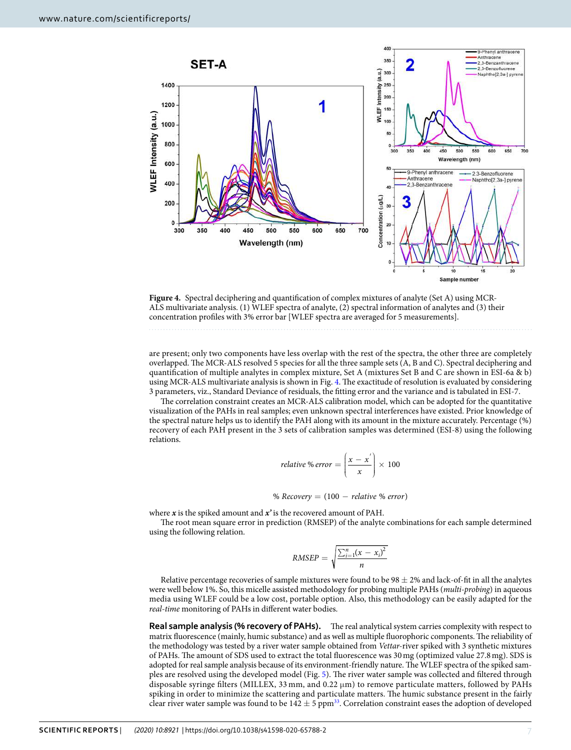

<span id="page-6-0"></span>**Figure 4.** Spectral deciphering and quantification of complex mixtures of analyte (Set A) using MCR-ALS multivariate analysis. (1) WLEF spectra of analyte, (2) spectral information of analytes and (3) their concentration profiles with 3% error bar [WLEF spectra are averaged for 5 measurements].

are present; only two components have less overlap with the rest of the spectra, the other three are completely overlapped. The MCR-ALS resolved 5 species for all the three sample sets (A, B and C). Spectral deciphering and quantification of multiple analytes in complex mixture, Set A (mixtures Set B and C are shown in ESI-6a & b) using MCR-ALS multivariate analysis is shown in Fig. [4](#page-6-0). The exactitude of resolution is evaluated by considering 3 parameters, viz., Standard Deviance of residuals, the fitting error and the variance and is tabulated in ESI-7.

The correlation constraint creates an MCR-ALS calibration model, which can be adopted for the quantitative visualization of the PAHs in real samples; even unknown spectral interferences have existed. Prior knowledge of the spectral nature helps us to identify the PAH along with its amount in the mixture accurately. Percentage (%) recovery of each PAH present in the 3 sets of calibration samples was determined (ESI-8) using the following relations.

relative % error = 
$$
\left(\frac{x - x^{'}}{x}\right) \times 100
$$

% Recovery  $= (100 -$  relative % error)

where **x** is the spiked amount and **x'** is the recovered amount of PAH.

The root mean square error in prediction (RMSEP) of the analyte combinations for each sample determined using the following relation.

$$
RMSEP = \sqrt{\frac{\sum_{i=1}^{n}(x - x_i)^2}{n}}
$$

Relative percentage recoveries of sample mixtures were found to be  $98 \pm 2\%$  and lack-of-fit in all the analytes were well below 1%. So, this micelle assisted methodology for probing multiple PAHs (multi-probing) in aqueous media using WLEF could be a low cost, portable option. Also, this methodology can be easily adapted for the real-time monitoring of PAHs in different water bodies.

**Real sample analysis (% recovery of PAHs).** The real analytical system carries complexity with respect to matrix fluorescence (mainly, humic substance) and as well as multiple fluorophoric components. The reliability of the methodology was tested by a river water sample obtained from Vettar-river spiked with 3 synthetic mixtures of PAHs. The amount of SDS used to extract the total fluorescence was 30 mg (optimized value 27.8 mg). SDS is adopted for real sample analysis because of its environment-friendly nature. The WLEF spectra of the spiked samples are resolved using the developed model (Fig. [5](#page-7-0)). The river water sample was collected and filtered through disposable syringe filters (MILLEX,  $33 \text{ mm}$ , and  $0.22 \mu \text{m}$ ) to remove particulate matters, followed by PAHs spiking in order to minimize the scattering and particulate matters. The humic substance present in the fairly clear river water sample was found to be  $142 \pm 5$  ppm<sup>[33](#page-9-7)</sup>. Correlation constraint eases the adoption of developed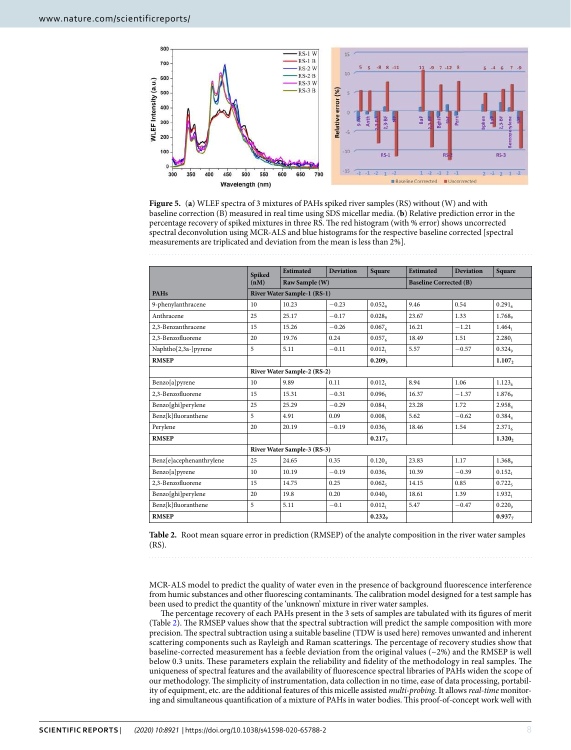

<span id="page-7-0"></span>**Figure 5.** (**a**) WLEF spectra of 3 mixtures of PAHs spiked river samples (RS) without (W) and with baseline correction (B) measured in real time using SDS micellar media. (**b**) Relative prediction error in the percentage recovery of spiked mixtures in three RS. The red histogram (with % error) shows uncorrected spectral deconvolution using MCR-ALS and blue histograms for the respective baseline corrected [spectral measurements are triplicated and deviation from the mean is less than 2%].

<span id="page-7-1"></span>

|                          | <b>Spiked</b>               | <b>Estimated</b> | <b>Deviation</b> | Square               | <b>Estimated</b>              | <b>Deviation</b> | <b>Square</b>        |  |  |
|--------------------------|-----------------------------|------------------|------------------|----------------------|-------------------------------|------------------|----------------------|--|--|
|                          | (nM)                        | Raw Sample (W)   |                  |                      | <b>Baseline Corrected (B)</b> |                  |                      |  |  |
| <b>PAHs</b>              | River Water Sample-1 (RS-1) |                  |                  |                      |                               |                  |                      |  |  |
| 9-phenylanthracene       | 10                          | 10.23            | $-0.23$          | 0.052                | 9.46                          | 0.54             | 0.291 <sub>6</sub>   |  |  |
| Anthracene               | 25                          | 25.17            | $-0.17$          | $0.028$ <sup>o</sup> | 23.67                         | 1.33             | 1.768 <sub>°</sub>   |  |  |
| 2.3-Benzanthracene       | 15                          | 15.26            | $-0.26$          | 0.067 <sub>6</sub>   | 16.21                         | $-1.21$          | $1.464_1$            |  |  |
| 2.3-Benzofluorene        | 20                          | 19.76            | 0.24             | 0.057 <sub>6</sub>   | 18.49                         | 1.51             | $2.280_1$            |  |  |
| Naphtho[2,3a-]pyrene     | 5                           | 5.11             | $-0.11$          | $0.012_1$            | 5.57                          | $-0.57$          | $0.324$ <sup>o</sup> |  |  |
| <b>RMSEP</b>             |                             |                  |                  | 0.209 <sub>3</sub>   |                               |                  | 1.107,               |  |  |
|                          | River Water Sample-2 (RS-2) |                  |                  |                      |                               |                  |                      |  |  |
| Benzo[a]pyrene           | 10                          | 9.89             | 0.11             | $0.012_1$            | 8.94                          | 1.06             | 1.123 <sub>6</sub>   |  |  |
| 2,3-Benzofluorene        | 15                          | 15.31            | $-0.31$          | 0.096 <sub>1</sub>   | 16.37                         | $-1.37$          | 1.876 <sub>9</sub>   |  |  |
| Benzo[ghi]perylene       | 25                          | 25.29            | $-0.29$          | $0.084_1$            | 23.28                         | 1.72             | 2.958 <sub>4</sub>   |  |  |
| Benz[k]fluoranthene      | 5                           | 4.91             | 0.09             | 0.008 <sub>1</sub>   | 5.62                          | $-0.62$          | $0.384_{4}$          |  |  |
| Perylene                 | 20                          | 20.19            | $-0.19$          | $0.036_1$            | 18.46                         | 1.54             | $2.371_{6}$          |  |  |
| <b>RMSEP</b>             |                             |                  |                  | 0.217 <sub>5</sub>   |                               |                  | 1.320,               |  |  |
|                          | River Water Sample-3 (RS-3) |                  |                  |                      |                               |                  |                      |  |  |
| Benz[e]acephenanthrylene | 25                          | 24.65            | 0.35             | $0.120_A$            | 23.83                         | 1.17             | 1.368 <sub>°</sub>   |  |  |
| Benzo[a]pyrene           | 10                          | 10.19            | $-0.19$          | $0.036_1$            | 10.39                         | $-0.39$          | $0.152_1$            |  |  |
| 2,3-Benzofluorene        | 15                          | 14.75            | 0.25             | 0.062 <sub>5</sub>   | 14.15                         | 0.85             | 0.722 <sub>5</sub>   |  |  |
| Benzo[ghi]perylene       | 20                          | 19.8             | 0.20             | 0.040 <sub>o</sub>   | 18.61                         | 1.39             | 1.932 <sub>1</sub>   |  |  |
| Benz[k]fluoranthene      | 5                           | 5.11             | $-0.1$           | $0.012_1$            | 5.47                          | $-0.47$          | 0.220 <sub>o</sub>   |  |  |
| <b>RMSEP</b>             |                             |                  |                  | 0.232 <sub>o</sub>   |                               |                  | $0.937 -$            |  |  |

**Table 2.** Root mean square error in prediction (RMSEP) of the analyte composition in the river water samples (RS).

MCR-ALS model to predict the quality of water even in the presence of background fluorescence interference from humic substances and other fluorescing contaminants. The calibration model designed for a test sample has been used to predict the quantity of the 'unknown' mixture in river water samples.

The percentage recovery of each PAHs present in the 3 sets of samples are tabulated with its figures of merit (Table [2\)](#page-7-1). The RMSEP values show that the spectral subtraction will predict the sample composition with more precision. The spectral subtraction using a suitable baseline (TDW is used here) removes unwanted and inherent scattering components such as Rayleigh and Raman scatterings. The percentage of recovery studies show that baseline-corrected measurement has a feeble deviation from the original values ( $\sim$ 2%) and the RMSEP is well below 0.3 units. These parameters explain the reliability and fidelity of the methodology in real samples. The uniqueness of spectral features and the availability of fluorescence spectral libraries of PAHs widen the scope of our methodology. The simplicity of instrumentation, data collection in no time, ease of data processing, portability of equipment, etc. are the additional features of this micelle assisted multi-probing. It allows real-time monitoring and simultaneous quantification of a mixture of PAHs in water bodies. This proof-of-concept work well with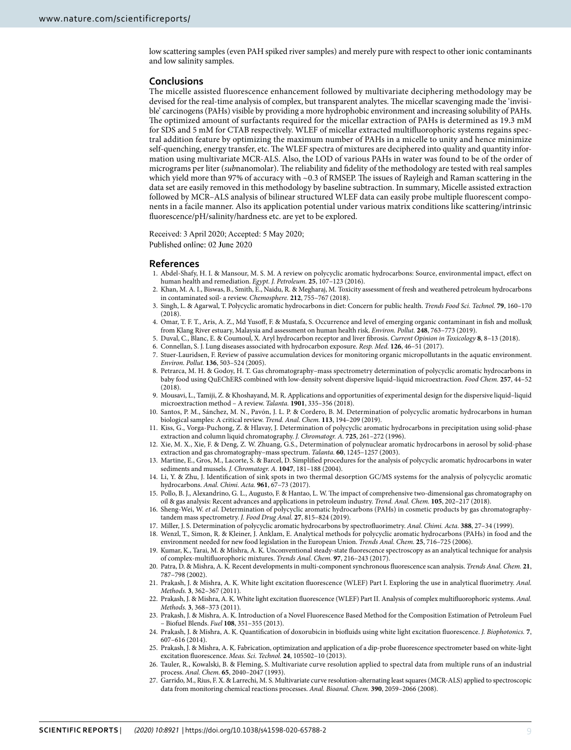low scattering samples (even PAH spiked river samples) and merely pure with respect to other ionic contaminants and low salinity samples.

#### **Conclusions**

The micelle assisted fluorescence enhancement followed by multivariate deciphering methodology may be devised for the real-time analysis of complex, but transparent analytes. The micellar scavenging made the 'invisible' carcinogens (PAHs) visible by providing a more hydrophobic environment and increasing solubility of PAHs. The optimized amount of surfactants required for the micellar extraction of PAHs is determined as 19.3 mM for SDS and 5 mM for CTAB respectively. WLEF of micellar extracted multifluorophoric systems regains spectral addition feature by optimizing the maximum number of PAHs in a micelle to unity and hence minimize self-quenching, energy transfer, etc. The WLEF spectra of mixtures are deciphered into quality and quantity information using multivariate MCR-ALS. Also, the LOD of various PAHs in water was found to be of the order of micrograms per liter (subnanomolar). The reliability and fidelity of the methodology are tested with real samples which yield more than 97% of accuracy with ~0.3 of RMSEP. The issues of Rayleigh and Raman scattering in the data set are easily removed in this methodology by baseline subtraction. In summary, Micelle assisted extraction followed by MCR–ALS analysis of bilinear structured WLEF data can easily probe multiple fluorescent components in a facile manner. Also its application potential under various matrix conditions like scattering/intrinsic fluorescence/pH/salinity/hardness etc. are yet to be explored.

Received: 3 April 2020; Accepted: 5 May 2020; Published online: 02 June 2020

#### **References**

- <span id="page-8-0"></span> 1. Abdel-Shafy, H. I. & Mansour, M. S. M. A review on polycyclic aromatic hydrocarbons: Source, environmental impact, effect on human health and remediation. Egypt. J. Petroleum. **25**, 107–123 (2016).
- <span id="page-8-1"></span> 2. Khan, M. A. I., Biswas, B., Smith, E., Naidu, R. & Megharaj, M. Toxicity assessment of fresh and weathered petroleum hydrocarbons in contaminated soil- a review. Chemosphere. **212**, 755–767 (2018).
- <span id="page-8-2"></span> 3. Singh, L. & Agarwal, T. Polycyclic aromatic hydrocarbons in diet: Concern for public health. Trends Food Sci. Technol. **79**, 160–170  $(2018)$ .
- <span id="page-8-3"></span> 4. Omar, T. F. T., Aris, A. Z., Md Yusoff, F. & Mustafa, S. Occurrence and level of emerging organic contaminant in fish and mollusk from Klang River estuary, Malaysia and assessment on human health risk. Environ. Pollut. **248**, 763–773 (2019).
- <span id="page-8-4"></span>5. Duval, C., Blanc, E. & Coumoul, X. Aryl hydrocarbon receptor and liver fibrosis. Current Opinion in Toxicology **8**, 8–13 (2018).
- <span id="page-8-5"></span>6. Connellan, S. J. Lung diseases associated with hydrocarbon exposure. Resp. Med. **126**, 46–51 (2017).
- <span id="page-8-6"></span> 7. Stuer-Lauridsen, F. Review of passive accumulation devices for monitoring organic micropollutants in the aquatic environment. Environ. Pollut. **136**, 503–524 (2005).
- <span id="page-8-7"></span> 8. Petrarca, M. H. & Godoy, H. T. Gas chromatography–mass spectrometry determination of polycyclic aromatic hydrocarbons in baby food using QuEChERS combined with low-density solvent dispersive liquid–liquid microextraction. Food Chem. **257**, 44–52 (2018).
- <span id="page-8-8"></span> 9. Mousavi, L., Tamiji, Z. & Khoshayand, M. R. Applications and opportunities of experimental design for the dispersive liquid–liquid microextraction method – A review. Talanta. **1901**, 335–356 (2018).
- <span id="page-8-9"></span> 10. Santos, P. M., Sánchez, M. N., Pavón, J. L. P. & Cordero, B. M. Determination of polycyclic aromatic hydrocarbons in human biological samples: A critical review. Trend. Anal. Chem. **113**, 194–209 (2019).
- <span id="page-8-10"></span> 11. Kiss, G., Vorga-Puchong, Z. & Hlavay, J. Determination of polycyclic aromatic hydrocarbons in precipitation using solid-phase extraction and column liquid chromatography. J. Chromatogr. A. **725**, 261–272 (1996).
- <span id="page-8-11"></span> 12. Xie, M. X., Xie, F. & Deng, Z. W. Zhuang, G.S., Determination of polynuclear aromatic hydrocarbons in aerosol by solid-phase extraction and gas chromatography–mass spectrum. Talanta. **60**, 1245–1257 (2003).
- <span id="page-8-12"></span> 13. Martine, E., Gros, M., Lacorte, S. & Barcel, D. Simplified procedures for the analysis of polycyclic aromatic hydrocarbons in water sediments and mussels. J. Chromatogr. A. **1047**, 181–188 (2004).
- <span id="page-8-13"></span> 14. Li, Y. & Zhu, J. Identification of sink spots in two thermal desorption GC/MS systems for the analysis of polycyclic aromatic hydrocarbons. Anal. Chimi. Acta. **961**, 67–73 (2017).
- 15. Pollo, B. J., Alexandrino, G. L., Augusto, F. & Hantao, L. W. The impact of comprehensive two-dimensional gas chromatography on oil & gas analysis: Recent advances and applications in petroleum industry. Trend. Anal. Chem. **105**, 202–217 (2018).
- <span id="page-8-14"></span> 16. Sheng-Wei, W. et al. Determination of polycyclic aromatic hydrocarbons (PAHs) in cosmetic products by gas chromatographytandem mass spectrometry. J. Food Drug Anal. **27**, 815–824 (2019).
- <span id="page-8-15"></span>17. Miller, J. S. Determination of polycyclic aromatic hydrocarbons by spectrofluorimetry. Anal. Chimi. Acta. **388**, 27–34 (1999).
- <span id="page-8-16"></span> 18. Wenzl, T., Simon, R. & Kleiner, J. Anklam, E. Analytical methods for polycyclic aromatic hydrocarbons (PAHs) in food and the environment needed for new food legislation in the European Union. Trends Anal. Chem. **25**, 716–725 (2006).
- <span id="page-8-17"></span> 19. Kumar, K., Tarai, M. & Mishra, A. K. Unconventional steady-state fluorescence spectroscopy as an analytical technique for analysis of complex-multifluorophoric mixtures. Trends Anal. Chem. **97**, 216–243 (2017).
- <span id="page-8-18"></span> 20. Patra, D. & Mishra, A. K. Recent developments in multi-component synchronous fluorescence scan analysis. Trends Anal. Chem. **21**, 787–798 (2002).
- <span id="page-8-19"></span> 21. Prakash, J. & Mishra, A. K. White light excitation fluorescence (WLEF) Part I. Exploring the use in analytical fluorimetry. Anal. Methods. **3**, 362–367 (2011).
- <span id="page-8-20"></span>22. Prakash, J. & Mishra, A. K. White light excitation fluorescence (WLEF) Part II. Analysis of complex multifluorophoric systems. Anal. Methods. **3**, 368–373 (2011).
- <span id="page-8-21"></span> 23. Prakash, J. & Mishra, A. K. Introduction of a Novel Fluorescence Based Method for the Composition Estimation of Petroleum Fuel – Biofuel Blends. Fuel **108**, 351–355 (2013).
- <span id="page-8-22"></span> 24. Prakash, J. & Mishra, A. K. Quantification of doxorubicin in biofluids using white light excitation fluorescence. J. Biophotonics. **7**, 607–616 (2014).
- <span id="page-8-23"></span> 25. Prakash, J. & Mishra, A. K. Fabrication, optimization and application of a dip-probe fluorescence spectrometer based on white-light excitation fluorescence. Meas. Sci. Technol. **24**, 105502–10 (2013).
- <span id="page-8-24"></span> 26. Tauler, R., Kowalski, B. & Fleming, S. Multivariate curve resolution applied to spectral data from multiple runs of an industrial process. Anal. Chem. **65**, 2040–2047 (1993).
- 27. Garrido, M., Rius, F. X. & Larrechi, M. S. Multivariate curve resolution-alternating least squares (MCR-ALS) applied to spectroscopic data from monitoring chemical reactions processes. Anal. Bioanal. Chem. **390**, 2059–2066 (2008).